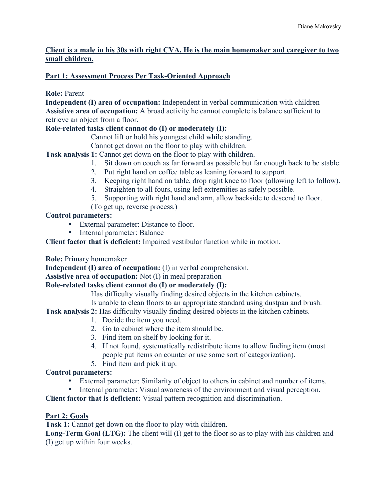### **Client is a male in his 30s with right CVA. He is the main homemaker and caregiver to two small children.**

# **Part 1: Assessment Process Per Task-Oriented Approach**

**Role:** Parent

**Independent (I) area of occupation:** Independent in verbal communication with children **Assistive area of occupation:** A broad activity he cannot complete is balance sufficient to retrieve an object from a floor.

# **Role-related tasks client cannot do (I) or moderately (I):**

Cannot lift or hold his youngest child while standing.

Cannot get down on the floor to play with children.

**Task analysis 1:** Cannot get down on the floor to play with children.

- 1. Sit down on couch as far forward as possible but far enough back to be stable.
- 2. Put right hand on coffee table as leaning forward to support.
- 3. Keeping right hand on table, drop right knee to floor (allowing left to follow).
- 4. Straighten to all fours, using left extremities as safely possible.
- 5. Supporting with right hand and arm, allow backside to descend to floor.
- (To get up, reverse process.)

# **Control parameters:**

- External parameter: Distance to floor.
- Internal parameter: Balance

**Client factor that is deficient:** Impaired vestibular function while in motion.

### **Role:** Primary homemaker

**Independent (I) area of occupation:** (I) in verbal comprehension.

**Assistive area of occupation:** Not (I) in meal preparation

### **Role-related tasks client cannot do (I) or moderately (I):**

Has difficulty visually finding desired objects in the kitchen cabinets.

Is unable to clean floors to an appropriate standard using dustpan and brush.

**Task analysis 2:** Has difficulty visually finding desired objects in the kitchen cabinets.

- 1. Decide the item you need.
- 2. Go to cabinet where the item should be.
- 3. Find item on shelf by looking for it.
- 4. If not found, systematically redistribute items to allow finding item (most people put items on counter or use some sort of categorization).
- 5. Find item and pick it up.

# **Control parameters:**

- External parameter: Similarity of object to others in cabinet and number of items.
- Internal parameter: Visual awareness of the environment and visual perception.

**Client factor that is deficient:** Visual pattern recognition and discrimination.

### **Part 2: Goals**

**Task 1:** Cannot get down on the floor to play with children.

**Long-Term Goal (LTG):** The client will (I) get to the floor so as to play with his children and (I) get up within four weeks.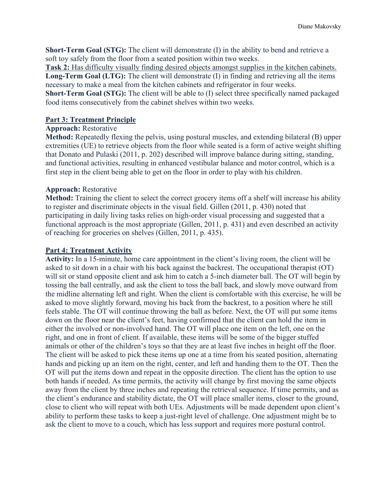**Short-Term Goal (STG):** The client will demonstrate (I) in the ability to bend and retrieve a soft toy safely from the floor from a seated position within two weeks.

**Task 2:** Has difficulty visually finding desired objects amongst supplies in the kitchen cabinets. **Long-Term Goal (LTG):** The client will demonstrate (I) in finding and retrieving all the items necessary to make a meal from the kitchen cabinets and refrigerator in four weeks.

**Short-Term Goal (STG):** The client will be able to (I) select three specifically named packaged food items consecutively from the cabinet shelves within two weeks.

#### **Part 3: Treatment Principle**

#### **Approach:** Restorative

**Method:** Repeatedly flexing the pelvis, using postural muscles, and extending bilateral (B) upper extremities (UE) to retrieve objects from the floor while seated is a form of active weight shifting that Donato and Pulaski (2011, p. 202) described will improve balance during sitting, standing, and functional activities, resulting in enhanced vestibular balance and motor control, which is a first step in the client being able to get on the floor in order to play with his children.

#### **Approach:** Restorative

**Method:** Training the client to select the correct grocery items off a shelf will increase his ability to register and discriminate objects in the visual field. Gillen (2011, p. 430) noted that participating in daily living tasks relies on high-order visual processing and suggested that a functional approach is the most appropriate (Gillen, 2011, p. 431) and even described an activity of reaching for groceries on shelves (Gillen, 2011, p. 435).

#### **Part 4: Treatment Activity**

**Activity:** In a 15-minute, home care appointment in the client's living room, the client will be asked to sit down in a chair with his back against the backrest. The occupational therapist (OT) will sit or stand opposite client and ask him to catch a 5-inch diameter ball. The OT will begin by tossing the ball centrally, and ask the client to toss the ball back, and slowly move outward from the midline alternating left and right. When the client is comfortable with this exercise, he will be asked to move slightly forward, moving his back from the backrest, to a position where he still feels stable. The OT will continue throwing the ball as before. Next, the OT will put some items down on the floor near the client's feet, having confirmed that the client can hold the item in either the involved or non-involved hand. The OT will place one item on the left, one on the right, and one in front of client. If available, these items will be some of the bigger stuffed animals or other of the children's toys so that they are at least five inches in height off the floor. The client will be asked to pick these items up one at a time from his seated position, alternating hands and picking up an item on the right, center, and left and handing them to the OT. Then the OT will put the items down and repeat in the opposite direction. The client has the option to use both hands if needed. As time permits, the activity will change by first moving the same objects away from the client by three inches and repeating the retrieval sequence. If time permits, and as the client's endurance and stability dictate, the OT will place smaller items, closer to the ground, close to client who will repeat with both UEs. Adjustments will be made dependent upon client's ability to perform these tasks to keep a just-right level of challenge. One adjustment might be to ask the client to move to a couch, which has less support and requires more postural control.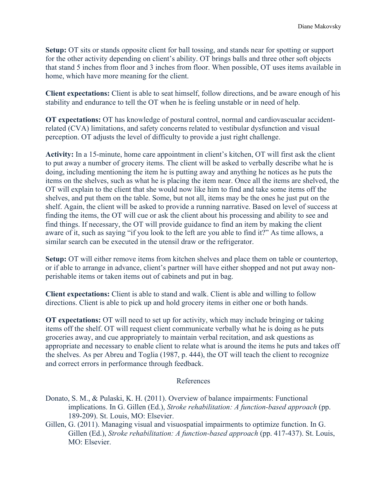**Setup:** OT sits or stands opposite client for ball tossing, and stands near for spotting or support for the other activity depending on client's ability. OT brings balls and three other soft objects that stand 5 inches from floor and 3 inches from floor. When possible, OT uses items available in home, which have more meaning for the client.

**Client expectations:** Client is able to seat himself, follow directions, and be aware enough of his stability and endurance to tell the OT when he is feeling unstable or in need of help.

**OT expectations:** OT has knowledge of postural control, normal and cardiovascualar accidentrelated (CVA) limitations, and safety concerns related to vestibular dysfunction and visual perception. OT adjusts the level of difficulty to provide a just right challenge.

**Activity:** In a 15-minute, home care appointment in client's kitchen, OT will first ask the client to put away a number of grocery items. The client will be asked to verbally describe what he is doing, including mentioning the item he is putting away and anything he notices as he puts the items on the shelves, such as what he is placing the item near. Once all the items are shelved, the OT will explain to the client that she would now like him to find and take some items off the shelves, and put them on the table. Some, but not all, items may be the ones he just put on the shelf. Again, the client will be asked to provide a running narrative. Based on level of success at finding the items, the OT will cue or ask the client about his processing and ability to see and find things. If necessary, the OT will provide guidance to find an item by making the client aware of it, such as saying "if you look to the left are you able to find it?" As time allows, a similar search can be executed in the utensil draw or the refrigerator.

**Setup:** OT will either remove items from kitchen shelves and place them on table or countertop, or if able to arrange in advance, client's partner will have either shopped and not put away nonperishable items or taken items out of cabinets and put in bag.

**Client expectations:** Client is able to stand and walk. Client is able and willing to follow directions. Client is able to pick up and hold grocery items in either one or both hands.

**OT expectations:** OT will need to set up for activity, which may include bringing or taking items off the shelf. OT will request client communicate verbally what he is doing as he puts groceries away, and cue appropriately to maintain verbal recitation, and ask questions as appropriate and necessary to enable client to relate what is around the items he puts and takes off the shelves. As per Abreu and Toglia (1987, p. 444), the OT will teach the client to recognize and correct errors in performance through feedback.

#### References

- Donato, S. M., & Pulaski, K. H. (2011). Overview of balance impairments: Functional implications. In G. Gillen (Ed.), *Stroke rehabilitation: A function-based approach* (pp. 189-209). St. Louis, MO: Elsevier.
- Gillen, G. (2011). Managing visual and visuospatial impairments to optimize function. In G. Gillen (Ed.), *Stroke rehabilitation: A function-based approach* (pp. 417-437). St. Louis, MO: Elsevier.